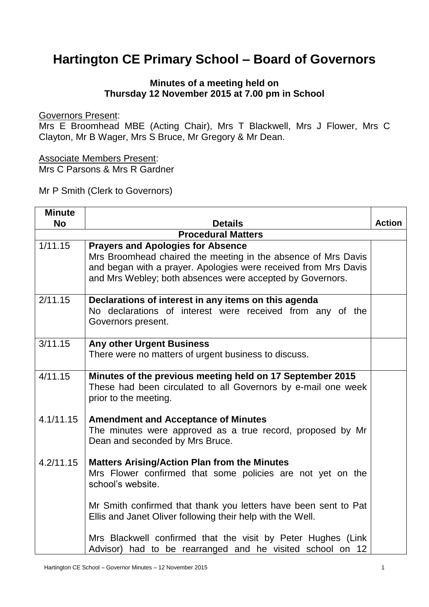## **Hartington CE Primary School – Board of Governors**

## **Minutes of a meeting held on Thursday 12 November 2015 at 7.00 pm in School**

Governors Present:

Mrs E Broomhead MBE (Acting Chair), Mrs T Blackwell, Mrs J Flower, Mrs C Clayton, Mr B Wager, Mrs S Bruce, Mr Gregory & Mr Dean.

Associate Members Present: Mrs C Parsons & Mrs R Gardner

Mr P Smith (Clerk to Governors)

| <b>Minute</b> |                                                                                                                                                                                                                                           |               |
|---------------|-------------------------------------------------------------------------------------------------------------------------------------------------------------------------------------------------------------------------------------------|---------------|
| No            | <b>Details</b>                                                                                                                                                                                                                            | <b>Action</b> |
|               | <b>Procedural Matters</b>                                                                                                                                                                                                                 |               |
| 1/11.15       | <b>Prayers and Apologies for Absence</b><br>Mrs Broomhead chaired the meeting in the absence of Mrs Davis<br>and began with a prayer. Apologies were received from Mrs Davis<br>and Mrs Webley; both absences were accepted by Governors. |               |
| 2/11.15       | Declarations of interest in any items on this agenda<br>No declarations of interest were received from any of the<br>Governors present.                                                                                                   |               |
| 3/11.15       | <b>Any other Urgent Business</b><br>There were no matters of urgent business to discuss.                                                                                                                                                  |               |
| 4/11.15       | Minutes of the previous meeting held on 17 September 2015<br>These had been circulated to all Governors by e-mail one week<br>prior to the meeting.                                                                                       |               |
| 4.1/11.15     | <b>Amendment and Acceptance of Minutes</b><br>The minutes were approved as a true record, proposed by Mr<br>Dean and seconded by Mrs Bruce.                                                                                               |               |
| 4.2/11.15     | <b>Matters Arising/Action Plan from the Minutes</b><br>Mrs Flower confirmed that some policies are not yet on the<br>school's website.                                                                                                    |               |
|               | Mr Smith confirmed that thank you letters have been sent to Pat<br>Ellis and Janet Oliver following their help with the Well.                                                                                                             |               |
|               | Mrs Blackwell confirmed that the visit by Peter Hughes (Link<br>Advisor) had to be rearranged and he visited school on 12                                                                                                                 |               |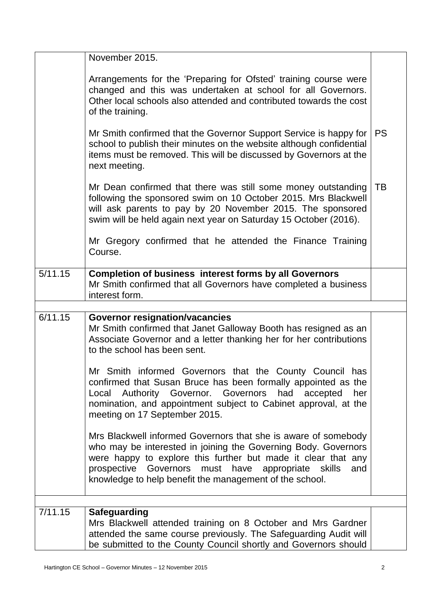|         | November 2015.                                                                                                                                                                                                                                                                                                            |           |
|---------|---------------------------------------------------------------------------------------------------------------------------------------------------------------------------------------------------------------------------------------------------------------------------------------------------------------------------|-----------|
|         | Arrangements for the 'Preparing for Ofsted' training course were<br>changed and this was undertaken at school for all Governors.<br>Other local schools also attended and contributed towards the cost<br>of the training.                                                                                                |           |
|         | Mr Smith confirmed that the Governor Support Service is happy for<br>school to publish their minutes on the website although confidential<br>items must be removed. This will be discussed by Governors at the<br>next meeting.                                                                                           | <b>PS</b> |
|         | Mr Dean confirmed that there was still some money outstanding<br>following the sponsored swim on 10 October 2015. Mrs Blackwell<br>will ask parents to pay by 20 November 2015. The sponsored<br>swim will be held again next year on Saturday 15 October (2016).                                                         | TB        |
|         | Mr Gregory confirmed that he attended the Finance Training<br>Course.                                                                                                                                                                                                                                                     |           |
| 5/11.15 | <b>Completion of business interest forms by all Governors</b><br>Mr Smith confirmed that all Governors have completed a business<br>interest form.                                                                                                                                                                        |           |
|         |                                                                                                                                                                                                                                                                                                                           |           |
| 6/11.15 | <b>Governor resignation/vacancies</b><br>Mr Smith confirmed that Janet Galloway Booth has resigned as an<br>Associate Governor and a letter thanking her for her contributions<br>to the school has been sent.                                                                                                            |           |
|         | Mr Smith informed Governors that the County Council has<br>confirmed that Susan Bruce has been formally appointed as the<br>Authority Governor. Governors<br>had<br>accepted<br>Local<br>her<br>nomination, and appointment subject to Cabinet approval, at the<br>meeting on 17 September 2015.                          |           |
|         | Mrs Blackwell informed Governors that she is aware of somebody<br>who may be interested in joining the Governing Body. Governors<br>were happy to explore this further but made it clear that any<br>prospective Governors must have appropriate skills<br>and<br>knowledge to help benefit the management of the school. |           |
|         |                                                                                                                                                                                                                                                                                                                           |           |
| 7/11.15 | <b>Safeguarding</b><br>Mrs Blackwell attended training on 8 October and Mrs Gardner<br>attended the same course previously. The Safeguarding Audit will<br>be submitted to the County Council shortly and Governors should                                                                                                |           |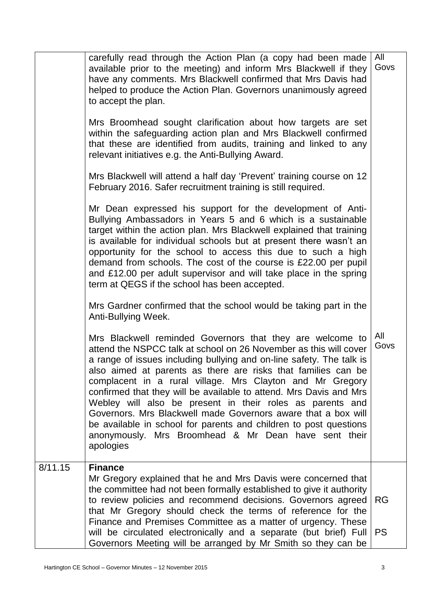|         | carefully read through the Action Plan (a copy had been made<br>available prior to the meeting) and inform Mrs Blackwell if they<br>have any comments. Mrs Blackwell confirmed that Mrs Davis had<br>helped to produce the Action Plan. Governors unanimously agreed<br>to accept the plan.<br>Mrs Broomhead sought clarification about how targets are set<br>within the safeguarding action plan and Mrs Blackwell confirmed<br>that these are identified from audits, training and linked to any<br>relevant initiatives e.g. the Anti-Bullying Award.<br>Mrs Blackwell will attend a half day 'Prevent' training course on 12<br>February 2016. Safer recruitment training is still required.         | All<br>Govs            |
|---------|-----------------------------------------------------------------------------------------------------------------------------------------------------------------------------------------------------------------------------------------------------------------------------------------------------------------------------------------------------------------------------------------------------------------------------------------------------------------------------------------------------------------------------------------------------------------------------------------------------------------------------------------------------------------------------------------------------------|------------------------|
|         | Mr Dean expressed his support for the development of Anti-<br>Bullying Ambassadors in Years 5 and 6 which is a sustainable<br>target within the action plan. Mrs Blackwell explained that training<br>is available for individual schools but at present there wasn't an<br>opportunity for the school to access this due to such a high<br>demand from schools. The cost of the course is £22.00 per pupil<br>and £12.00 per adult supervisor and will take place in the spring<br>term at QEGS if the school has been accepted.<br>Mrs Gardner confirmed that the school would be taking part in the                                                                                                    |                        |
|         | Anti-Bullying Week.<br>Mrs Blackwell reminded Governors that they are welcome to<br>attend the NSPCC talk at school on 26 November as this will cover<br>a range of issues including bullying and on-line safety. The talk is<br>also aimed at parents as there are risks that families can be<br>complacent in a rural village. Mrs Clayton and Mr Gregory<br>confirmed that they will be available to attend. Mrs Davis and Mrs<br>Webley will also be present in their roles as parents and<br>Governors. Mrs Blackwell made Governors aware that a box will<br>be available in school for parents and children to post questions<br>anonymously. Mrs Broomhead & Mr Dean have sent their<br>apologies | All<br>Govs            |
| 8/11.15 | <b>Finance</b><br>Mr Gregory explained that he and Mrs Davis were concerned that<br>the committee had not been formally established to give it authority<br>to review policies and recommend decisions. Governors agreed<br>that Mr Gregory should check the terms of reference for the<br>Finance and Premises Committee as a matter of urgency. These<br>will be circulated electronically and a separate (but brief) Full<br>Governors Meeting will be arranged by Mr Smith so they can be                                                                                                                                                                                                             | <b>RG</b><br><b>PS</b> |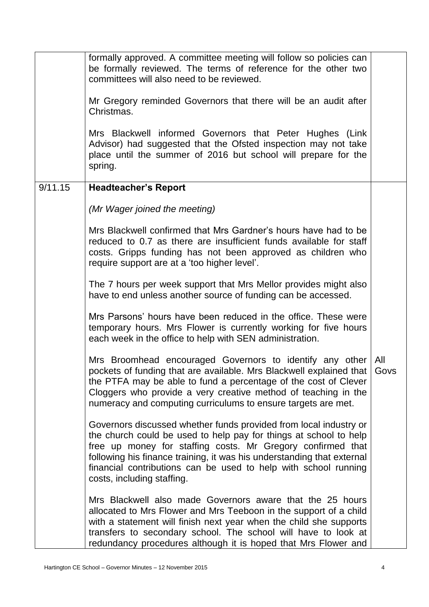|         | formally approved. A committee meeting will follow so policies can<br>be formally reviewed. The terms of reference for the other two<br>committees will also need to be reviewed.                                                                                                                                                                                                |             |
|---------|----------------------------------------------------------------------------------------------------------------------------------------------------------------------------------------------------------------------------------------------------------------------------------------------------------------------------------------------------------------------------------|-------------|
|         | Mr Gregory reminded Governors that there will be an audit after<br>Christmas.                                                                                                                                                                                                                                                                                                    |             |
|         | Mrs Blackwell informed Governors that Peter Hughes (Link<br>Advisor) had suggested that the Ofsted inspection may not take<br>place until the summer of 2016 but school will prepare for the<br>spring.                                                                                                                                                                          |             |
| 9/11.15 | <b>Headteacher's Report</b>                                                                                                                                                                                                                                                                                                                                                      |             |
|         | (Mr Wager joined the meeting)                                                                                                                                                                                                                                                                                                                                                    |             |
|         | Mrs Blackwell confirmed that Mrs Gardner's hours have had to be<br>reduced to 0.7 as there are insufficient funds available for staff<br>costs. Gripps funding has not been approved as children who<br>require support are at a 'too higher level'.                                                                                                                             |             |
|         | The 7 hours per week support that Mrs Mellor provides might also<br>have to end unless another source of funding can be accessed.                                                                                                                                                                                                                                                |             |
|         | Mrs Parsons' hours have been reduced in the office. These were<br>temporary hours. Mrs Flower is currently working for five hours<br>each week in the office to help with SEN administration.                                                                                                                                                                                    |             |
|         | Mrs Broomhead encouraged Governors to identify any other<br>pockets of funding that are available. Mrs Blackwell explained that  <br>the PTFA may be able to fund a percentage of the cost of Clever<br>Cloggers who provide a very creative method of teaching in the<br>numeracy and computing curriculums to ensure targets are met.                                          | All<br>Govs |
|         | Governors discussed whether funds provided from local industry or<br>the church could be used to help pay for things at school to help<br>free up money for staffing costs. Mr Gregory confirmed that<br>following his finance training, it was his understanding that external<br>financial contributions can be used to help with school running<br>costs, including staffing. |             |
|         | Mrs Blackwell also made Governors aware that the 25 hours<br>allocated to Mrs Flower and Mrs Teeboon in the support of a child<br>with a statement will finish next year when the child she supports<br>transfers to secondary school. The school will have to look at<br>redundancy procedures although it is hoped that Mrs Flower and                                         |             |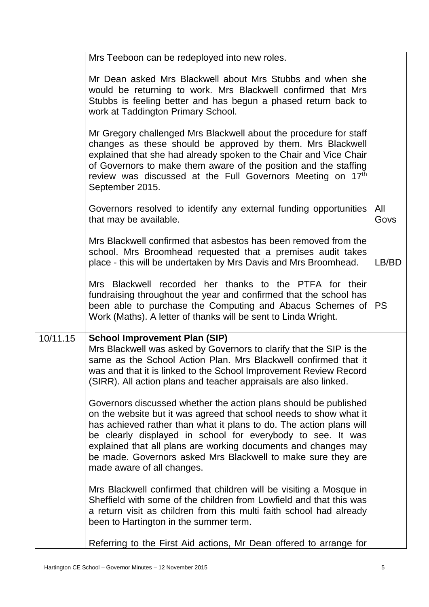|          | Mrs Teeboon can be redeployed into new roles.                                                                                                                                                                                                                                                                                                                                                                                                |             |
|----------|----------------------------------------------------------------------------------------------------------------------------------------------------------------------------------------------------------------------------------------------------------------------------------------------------------------------------------------------------------------------------------------------------------------------------------------------|-------------|
|          | Mr Dean asked Mrs Blackwell about Mrs Stubbs and when she<br>would be returning to work. Mrs Blackwell confirmed that Mrs<br>Stubbs is feeling better and has begun a phased return back to<br>work at Taddington Primary School.                                                                                                                                                                                                            |             |
|          | Mr Gregory challenged Mrs Blackwell about the procedure for staff<br>changes as these should be approved by them. Mrs Blackwell<br>explained that she had already spoken to the Chair and Vice Chair<br>of Governors to make them aware of the position and the staffing<br>review was discussed at the Full Governors Meeting on 17th<br>September 2015.                                                                                    |             |
|          | Governors resolved to identify any external funding opportunities<br>that may be available.                                                                                                                                                                                                                                                                                                                                                  | All<br>Govs |
|          | Mrs Blackwell confirmed that asbestos has been removed from the<br>school. Mrs Broomhead requested that a premises audit takes<br>place - this will be undertaken by Mrs Davis and Mrs Broomhead.                                                                                                                                                                                                                                            | LB/BD       |
|          | Mrs Blackwell recorded her thanks to the PTFA for their<br>fundraising throughout the year and confirmed that the school has<br>been able to purchase the Computing and Abacus Schemes of   PS<br>Work (Maths). A letter of thanks will be sent to Linda Wright.                                                                                                                                                                             |             |
| 10/11.15 | <b>School Improvement Plan (SIP)</b><br>Mrs Blackwell was asked by Governors to clarify that the SIP is the<br>same as the School Action Plan. Mrs Blackwell confirmed that it<br>was and that it is linked to the School Improvement Review Record<br>(SIRR). All action plans and teacher appraisals are also linked.                                                                                                                      |             |
|          | Governors discussed whether the action plans should be published<br>on the website but it was agreed that school needs to show what it<br>has achieved rather than what it plans to do. The action plans will<br>be clearly displayed in school for everybody to see. It was<br>explained that all plans are working documents and changes may<br>be made. Governors asked Mrs Blackwell to make sure they are<br>made aware of all changes. |             |
|          | Mrs Blackwell confirmed that children will be visiting a Mosque in<br>Sheffield with some of the children from Lowfield and that this was<br>a return visit as children from this multi faith school had already<br>been to Hartington in the summer term.                                                                                                                                                                                   |             |
|          | Referring to the First Aid actions, Mr Dean offered to arrange for                                                                                                                                                                                                                                                                                                                                                                           |             |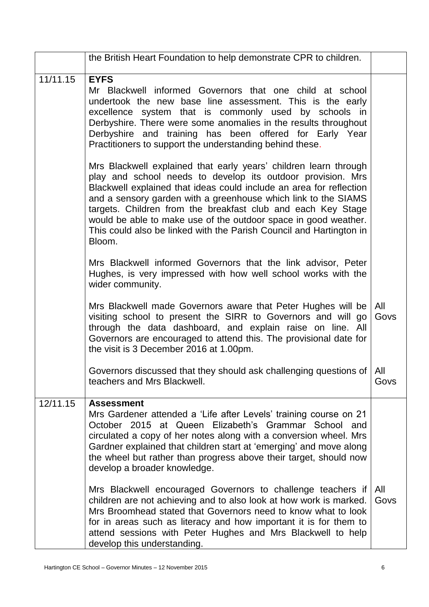|          | the British Heart Foundation to help demonstrate CPR to children.                                                                                                                                                                                                                                                                                                                                                                                                                            |             |
|----------|----------------------------------------------------------------------------------------------------------------------------------------------------------------------------------------------------------------------------------------------------------------------------------------------------------------------------------------------------------------------------------------------------------------------------------------------------------------------------------------------|-------------|
| 11/11.15 | <b>EYFS</b><br>Mr Blackwell informed Governors that one child at school<br>undertook the new base line assessment. This is the early<br>excellence system that is commonly used by schools in<br>Derbyshire. There were some anomalies in the results throughout<br>Derbyshire and training has been offered for Early Year<br>Practitioners to support the understanding behind these.                                                                                                      |             |
|          | Mrs Blackwell explained that early years' children learn through<br>play and school needs to develop its outdoor provision. Mrs<br>Blackwell explained that ideas could include an area for reflection<br>and a sensory garden with a greenhouse which link to the SIAMS<br>targets. Children from the breakfast club and each Key Stage<br>would be able to make use of the outdoor space in good weather.<br>This could also be linked with the Parish Council and Hartington in<br>Bloom. |             |
|          | Mrs Blackwell informed Governors that the link advisor, Peter<br>Hughes, is very impressed with how well school works with the<br>wider community.                                                                                                                                                                                                                                                                                                                                           |             |
|          | Mrs Blackwell made Governors aware that Peter Hughes will be<br>visiting school to present the SIRR to Governors and will go<br>through the data dashboard, and explain raise on line. All<br>Governors are encouraged to attend this. The provisional date for<br>the visit is 3 December 2016 at 1.00pm.                                                                                                                                                                                   | All<br>Govs |
|          | Governors discussed that they should ask challenging questions of   All<br>teachers and Mrs Blackwell.                                                                                                                                                                                                                                                                                                                                                                                       | Govs        |
| 12/11.15 | <b>Assessment</b><br>Mrs Gardener attended a 'Life after Levels' training course on 21<br>October 2015 at Queen Elizabeth's Grammar School and<br>circulated a copy of her notes along with a conversion wheel. Mrs<br>Gardner explained that children start at 'emerging' and move along<br>the wheel but rather than progress above their target, should now<br>develop a broader knowledge.                                                                                               |             |
|          | Mrs Blackwell encouraged Governors to challenge teachers if<br>children are not achieving and to also look at how work is marked.<br>Mrs Broomhead stated that Governors need to know what to look<br>for in areas such as literacy and how important it is for them to<br>attend sessions with Peter Hughes and Mrs Blackwell to help<br>develop this understanding.                                                                                                                        | All<br>Govs |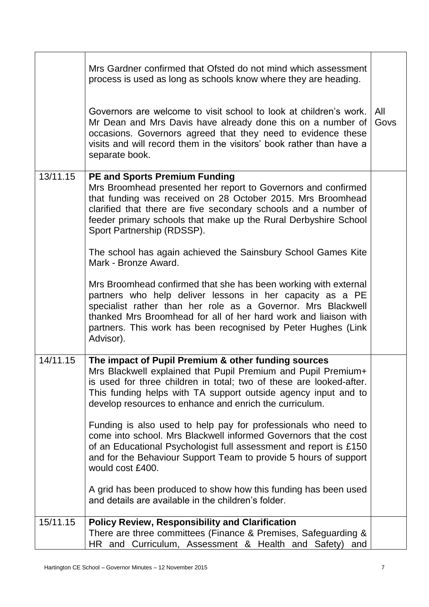|          | Mrs Gardner confirmed that Ofsted do not mind which assessment<br>process is used as long as schools know where they are heading.<br>Governors are welcome to visit school to look at children's work.<br>Mr Dean and Mrs Davis have already done this on a number of<br>occasions. Governors agreed that they need to evidence these<br>visits and will record them in the visitors' book rather than have a<br>separate book. | All<br>Govs |
|----------|---------------------------------------------------------------------------------------------------------------------------------------------------------------------------------------------------------------------------------------------------------------------------------------------------------------------------------------------------------------------------------------------------------------------------------|-------------|
| 13/11.15 | <b>PE and Sports Premium Funding</b><br>Mrs Broomhead presented her report to Governors and confirmed<br>that funding was received on 28 October 2015. Mrs Broomhead<br>clarified that there are five secondary schools and a number of<br>feeder primary schools that make up the Rural Derbyshire School<br>Sport Partnership (RDSSP).                                                                                        |             |
|          | The school has again achieved the Sainsbury School Games Kite<br>Mark - Bronze Award.                                                                                                                                                                                                                                                                                                                                           |             |
|          | Mrs Broomhead confirmed that she has been working with external<br>partners who help deliver lessons in her capacity as a PE<br>specialist rather than her role as a Governor. Mrs Blackwell<br>thanked Mrs Broomhead for all of her hard work and liaison with<br>partners. This work has been recognised by Peter Hughes (Link<br>Advisor).                                                                                   |             |
| 14/11.15 | The impact of Pupil Premium & other funding sources<br>Mrs Blackwell explained that Pupil Premium and Pupil Premium+<br>is used for three children in total; two of these are looked-after.<br>This funding helps with TA support outside agency input and to<br>develop resources to enhance and enrich the curriculum.                                                                                                        |             |
|          | Funding is also used to help pay for professionals who need to<br>come into school. Mrs Blackwell informed Governors that the cost<br>of an Educational Psychologist full assessment and report is £150<br>and for the Behaviour Support Team to provide 5 hours of support<br>would cost £400.                                                                                                                                 |             |
|          | A grid has been produced to show how this funding has been used<br>and details are available in the children's folder.                                                                                                                                                                                                                                                                                                          |             |
| 15/11.15 | <b>Policy Review, Responsibility and Clarification</b><br>There are three committees (Finance & Premises, Safeguarding &<br>HR and Curriculum, Assessment & Health and Safety) and                                                                                                                                                                                                                                              |             |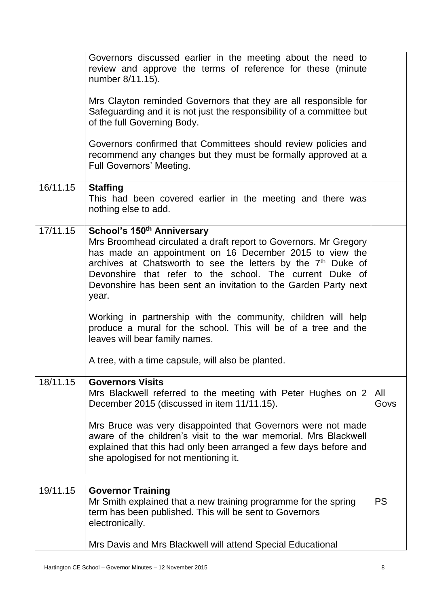|          | Governors discussed earlier in the meeting about the need to<br>review and approve the terms of reference for these (minute<br>number 8/11.15).<br>Mrs Clayton reminded Governors that they are all responsible for<br>Safeguarding and it is not just the responsibility of a committee but<br>of the full Governing Body.<br>Governors confirmed that Committees should review policies and<br>recommend any changes but they must be formally approved at a<br><b>Full Governors' Meeting.</b>                                                                                                          |             |
|----------|------------------------------------------------------------------------------------------------------------------------------------------------------------------------------------------------------------------------------------------------------------------------------------------------------------------------------------------------------------------------------------------------------------------------------------------------------------------------------------------------------------------------------------------------------------------------------------------------------------|-------------|
| 16/11.15 | <b>Staffing</b><br>This had been covered earlier in the meeting and there was<br>nothing else to add.                                                                                                                                                                                                                                                                                                                                                                                                                                                                                                      |             |
| 17/11.15 | School's 150 <sup>th</sup> Anniversary<br>Mrs Broomhead circulated a draft report to Governors. Mr Gregory<br>has made an appointment on 16 December 2015 to view the<br>archives at Chatsworth to see the letters by the $7th$ Duke of<br>Devonshire that refer to the school. The current Duke of<br>Devonshire has been sent an invitation to the Garden Party next<br>year.<br>Working in partnership with the community, children will help<br>produce a mural for the school. This will be of a tree and the<br>leaves will bear family names.<br>A tree, with a time capsule, will also be planted. |             |
| 18/11.15 | <b>Governors Visits</b><br>Mrs Blackwell referred to the meeting with Peter Hughes on 2<br>December 2015 (discussed in item 11/11.15).<br>Mrs Bruce was very disappointed that Governors were not made<br>aware of the children's visit to the war memorial. Mrs Blackwell<br>explained that this had only been arranged a few days before and<br>she apologised for not mentioning it.                                                                                                                                                                                                                    | All<br>Govs |
| 19/11.15 | <b>Governor Training</b>                                                                                                                                                                                                                                                                                                                                                                                                                                                                                                                                                                                   |             |
|          | Mr Smith explained that a new training programme for the spring<br>term has been published. This will be sent to Governors<br>electronically.                                                                                                                                                                                                                                                                                                                                                                                                                                                              | <b>PS</b>   |
|          | Mrs Davis and Mrs Blackwell will attend Special Educational                                                                                                                                                                                                                                                                                                                                                                                                                                                                                                                                                |             |